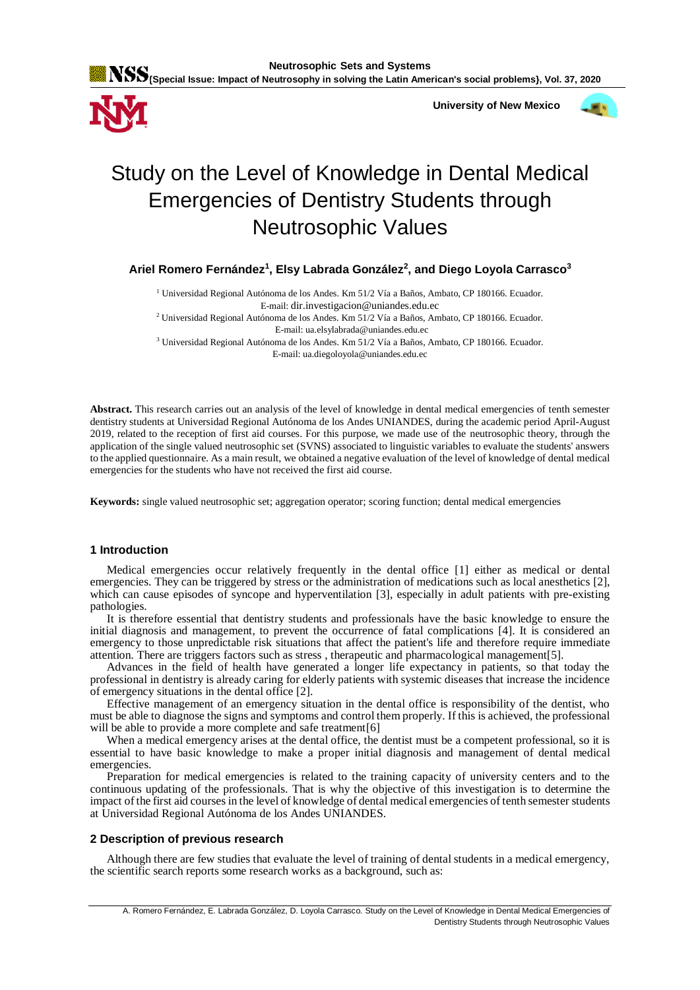



 **University of New Mexico**



# Study on the Level of Knowledge in Dental Medical Emergencies of Dentistry Students through Neutrosophic Values

**Ariel Romero Fernández<sup>1</sup> , Elsy Labrada González<sup>2</sup> , and Diego Loyola Carrasco<sup>3</sup>**

<sup>1</sup> Universidad Regional Autónoma de los Andes. Km 51/2 Vía a Baños, Ambato, CP 180166. Ecuador. E-mail: dir.investigacion@uniandes.edu.ec <sup>2</sup> Universidad Regional Autónoma de los Andes. Km 51/2 Vía a Baños, Ambato, CP 180166. Ecuador. E-mail: ua.elsylabrada@uniandes.edu.ec

<sup>3</sup> Universidad Regional Autónoma de los Andes. Km 51/2 Vía a Baños, Ambato, CP 180166. Ecuador. E-mail: ua.diegoloyola@uniandes.edu.ec

**Abstract.** This research carries out an analysis of the level of knowledge in dental medical emergencies of tenth semester dentistry students at Universidad Regional Autónoma de los Andes UNIANDES, during the academic period April-August 2019, related to the reception of first aid courses. For this purpose, we made use of the neutrosophic theory, through the application of the single valued neutrosophic set (SVNS) associated to linguistic variables to evaluate the students' answers to the applied questionnaire. As a main result, we obtained a negative evaluation of the level of knowledge of dental medical emergencies for the students who have not received the first aid course.

**Keywords:** single valued neutrosophic set; aggregation operator; scoring function; dental medical emergencies

## **1 Introduction**

Medical emergencies occur relatively frequently in the dental office [\[1\]](#page-7-0) either as medical or dental emergencies. They can be triggered by stress or the administration of medications such as local anesthetics [\[2\]](#page-7-1), which can cause episodes of syncope and hyperventilation [\[3\]](#page-7-2), especially in adult patients with pre-existing pathologies.

It is therefore essential that dentistry students and professionals have the basic knowledge to ensure the initial diagnosis and management, to prevent the occurrence of fatal complications [\[4\]](#page-7-3). It is considered an emergency to those unpredictable risk situations that affect the patient's life and therefore require immediate attention. There are triggers factors such as stress , therapeutic and pharmacological management[\[5\]](#page-7-4).

Advances in the field of health have generated a longer life expectancy in patients, so that today the professional in dentistry is already caring for elderly patients with systemic diseases that increase the incidence of emergency situations in the dental office [2].

Effective management of an emergency situation in the dental office is responsibility of the dentist, who must be able to diagnose the signs and symptoms and control them properly. If this is achieved, the professional will be able to provide a more complete and safe treatment[\[6\]](#page-7-5)

When a medical emergency arises at the dental office, the dentist must be a competent professional, so it is essential to have basic knowledge to make a proper initial diagnosis and management of dental medical emergencies.

Preparation for medical emergencies is related to the training capacity of university centers and to the continuous updating of the professionals. That is why the objective of this investigation is to determine the impact of the first aid courses in the level of knowledge of dental medical emergencies of tenth semester students at Universidad Regional Autónoma de los Andes UNIANDES.

# **2 Description of previous research**

Although there are few studies that evaluate the level of training of dental students in a medical emergency, the scientific search reports some research works as a background, such as: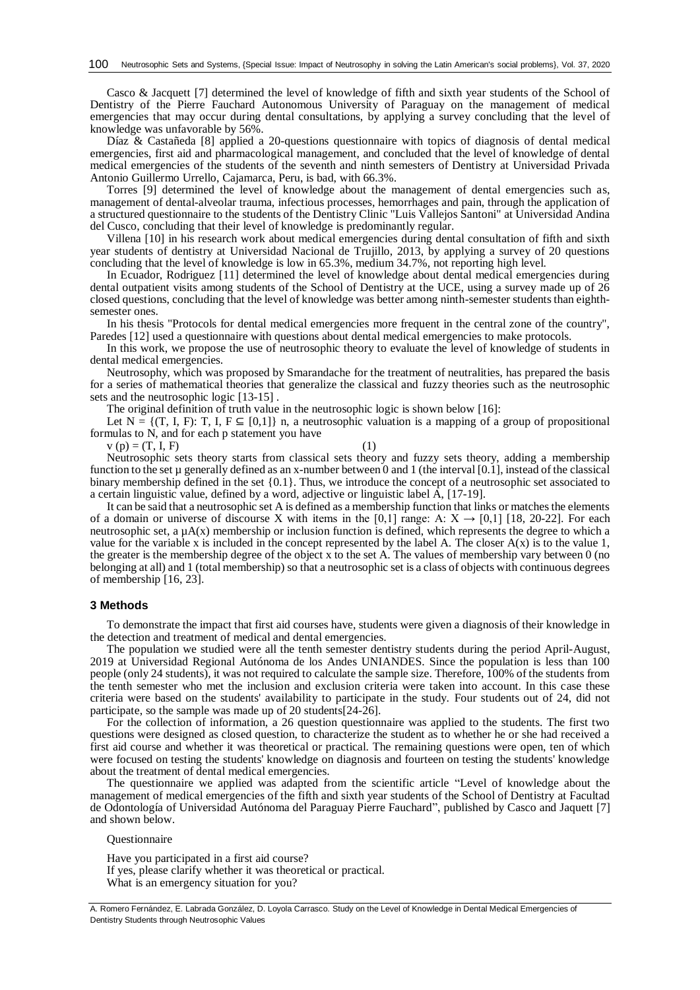Casco & Jacquett [\[7\]](#page-8-0) determined the level of knowledge of fifth and sixth year students of the School of Dentistry of the Pierre Fauchard Autonomous University of Paraguay on the management of medical emergencies that may occur during dental consultations, by applying a survey concluding that the level of knowledge was unfavorable by 56%.

Díaz & Castañeda [\[8\]](#page-8-1) applied a 20-questions questionnaire with topics of diagnosis of dental medical emergencies, first aid and pharmacological management, and concluded that the level of knowledge of dental medical emergencies of the students of the seventh and ninth semesters of Dentistry at Universidad Privada Antonio Guillermo Urrello, Cajamarca, Peru, is bad, with 66.3%.

Torres [\[9\]](#page-8-2) determined the level of knowledge about the management of dental emergencies such as, management of dental-alveolar trauma, infectious processes, hemorrhages and pain, through the application of a structured questionnaire to the students of the Dentistry Clinic "Luis Vallejos Santoni" at Universidad Andina del Cusco, concluding that their level of knowledge is predominantly regular.

Villena [\[10\]](#page-8-3) in his research work about medical emergencies during dental consultation of fifth and sixth year students of dentistry at Universidad Nacional de Trujillo, 2013, by applying a survey of 20 questions concluding that the level of knowledge is low in 65.3%, medium 34.7%, not reporting high level.

In Ecuador, Rodriguez [\[11\]](#page-8-4) determined the level of knowledge about dental medical emergencies during dental outpatient visits among students of the School of Dentistry at the UCE, using a survey made up of 26 closed questions, concluding that the level of knowledge was better among ninth-semester students than eighthsemester ones.

In his thesis "Protocols for dental medical emergencies more frequent in the central zone of the country", Paredes [\[12\]](#page-8-5) used a questionnaire with questions about dental medical emergencies to make protocols.

In this work, we propose the use of neutrosophic theory to evaluate the level of knowledge of students in dental medical emergencies.

Neutrosophy, which was proposed by Smarandache for the treatment of neutralities, has prepared the basis for a series of mathematical theories that generalize the classical and fuzzy theories such as the neutrosophic sets and the neutrosophic logic [\[13-15\]](#page-8-6) .

The original definition of truth value in the neutrosophic logic is shown below [\[16\]](#page-8-7):

Let  $N = \{(T, I, F): T, I, F \subseteq [0,1]\}$  n, a neutrosophic valuation is a mapping of a group of propositional formulas to N, and for each p statement you have

 $v(p) = (T, I, F)$  (1)

Neutrosophic sets theory starts from classical sets theory and fuzzy sets theory, adding a membership function to the set  $\mu$  generally defined as an x-number between 0 and 1 (the interval [0.1], instead of the classical binary membership defined in the set {0.1}. Thus, we introduce the concept of a neutrosophic set associated to a certain linguistic value, defined by a word, adjective or linguistic label A, [\[17-19\]](#page-8-8).

It can be said that a neutrosophic set A is defined as a membership function that links or matches the elements of a domain or universe of discourse X with items in the [0,1] range: A:  $X \rightarrow [0,1]$  [\[18,](#page-8-9) [20-22\]](#page-8-10). For each neutrosophic set, a  $\mu A(x)$  membership or inclusion function is defined, which represents the degree to which a value for the variable x is included in the concept represented by the label A. The closer  $A(x)$  is to the value 1, the greater is the membership degree of the object x to the set A. The values of membership vary between 0 (no belonging at all) and 1 (total membership) so that a neutrosophic set is a class of objects with continuous degrees of membership [\[16,](#page-8-7) [23\]](#page-8-11).

#### **3 Methods**

To demonstrate the impact that first aid courses have, students were given a diagnosis of their knowledge in the detection and treatment of medical and dental emergencies.

The population we studied were all the tenth semester dentistry students during the period April-August, 2019 at Universidad Regional Autónoma de los Andes UNIANDES. Since the population is less than 100 people (only 24 students), it was not required to calculate the sample size. Therefore, 100% of the students from the tenth semester who met the inclusion and exclusion criteria were taken into account. In this case these criteria were based on the students' availability to participate in the study. Four students out of 24, did not participate, so the sample was made up of 20 students[\[24-26\]](#page-8-12).

For the collection of information, a 26 question questionnaire was applied to the students. The first two questions were designed as closed question, to characterize the student as to whether he or she had received a first aid course and whether it was theoretical or practical. The remaining questions were open, ten of which were focused on testing the students' knowledge on diagnosis and fourteen on testing the students' knowledge about the treatment of dental medical emergencies.

The questionnaire we applied was adapted from the scientific article "Level of knowledge about the management of medical emergencies of the fifth and sixth year students of the School of Dentistry at Facultad de Odontología of Universidad Autónoma del Paraguay Pierre Fauchard", published by Casco and Jaquett [\[7\]](#page-8-0) and shown below.

**Ouestionnaire** 

Have you participated in a first aid course? If yes, please clarify whether it was theoretical or practical. What is an emergency situation for you?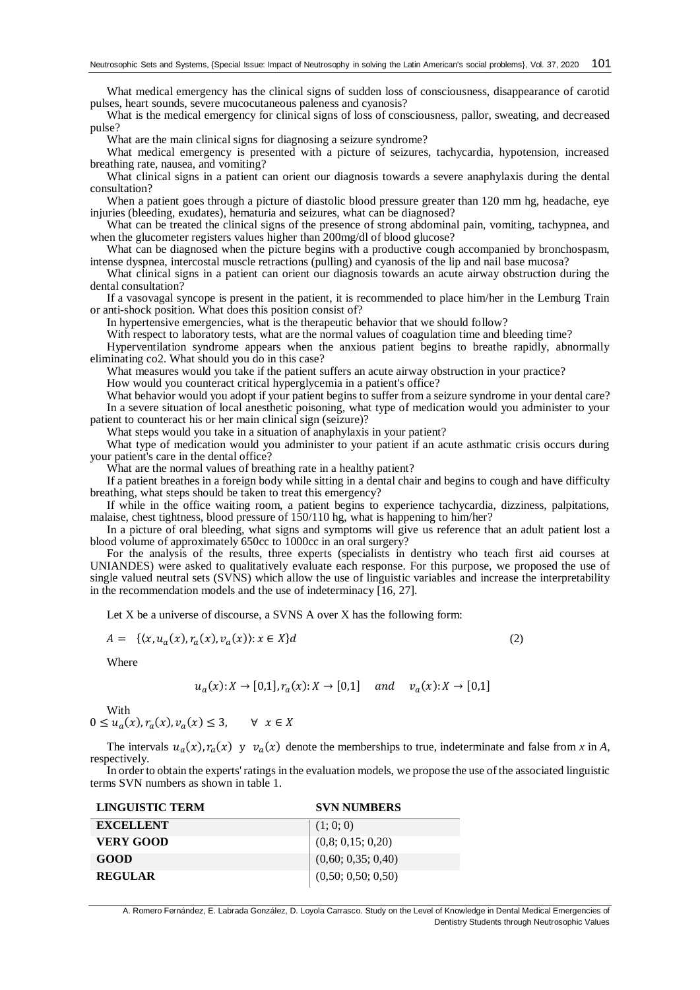What medical emergency has the clinical signs of sudden loss of consciousness, disappearance of carotid pulses, heart sounds, severe mucocutaneous paleness and cyanosis?

What is the medical emergency for clinical signs of loss of consciousness, pallor, sweating, and decreased pulse?

What are the main clinical signs for diagnosing a seizure syndrome?

What medical emergency is presented with a picture of seizures, tachycardia, hypotension, increased breathing rate, nausea, and vomiting?

What clinical signs in a patient can orient our diagnosis towards a severe anaphylaxis during the dental consultation?

When a patient goes through a picture of diastolic blood pressure greater than 120 mm hg, headache, eye injuries (bleeding, exudates), hematuria and seizures, what can be diagnosed?

What can be treated the clinical signs of the presence of strong abdominal pain, vomiting, tachypnea, and when the glucometer registers values higher than 200mg/dl of blood glucose?

What can be diagnosed when the picture begins with a productive cough accompanied by bronchospasm, intense dyspnea, intercostal muscle retractions (pulling) and cyanosis of the lip and nail base mucosa?

What clinical signs in a patient can orient our diagnosis towards an acute airway obstruction during the dental consultation?

If a vasovagal syncope is present in the patient, it is recommended to place him/her in the Lemburg Train or anti-shock position. What does this position consist of?

In hypertensive emergencies, what is the therapeutic behavior that we should follow?

With respect to laboratory tests, what are the normal values of coagulation time and bleeding time?

Hyperventilation syndrome appears when the anxious patient begins to breathe rapidly, abnormally eliminating co2. What should you do in this case?

What measures would you take if the patient suffers an acute airway obstruction in your practice?

How would you counteract critical hyperglycemia in a patient's office?

What behavior would you adopt if your patient begins to suffer from a seizure syndrome in your dental care? In a severe situation of local anesthetic poisoning, what type of medication would you administer to your patient to counteract his or her main clinical sign (seizure)?

What steps would you take in a situation of anaphylaxis in your patient?

What type of medication would you administer to your patient if an acute asthmatic crisis occurs during your patient's care in the dental office?

What are the normal values of breathing rate in a healthy patient?

If a patient breathes in a foreign body while sitting in a dental chair and begins to cough and have difficulty breathing, what steps should be taken to treat this emergency?

If while in the office waiting room, a patient begins to experience tachycardia, dizziness, palpitations, malaise, chest tightness, blood pressure of 150/110 hg, what is happening to him/her?

In a picture of oral bleeding, what signs and symptoms will give us reference that an adult patient lost a blood volume of approximately 650cc to 1000cc in an oral surgery?

For the analysis of the results, three experts (specialists in dentistry who teach first aid courses at UNIANDES) were asked to qualitatively evaluate each response. For this purpose, we proposed the use of single valued neutral sets (SVNS) which allow the use of linguistic variables and increase the interpretability in the recommendation models and the use of indeterminacy [\[16,](#page-8-7) [27\]](#page-8-13).

Let X be a universe of discourse, a SVNS A over X has the following form:

$$
A = \{ \langle x, u_a(x), r_a(x), v_a(x) \rangle : x \in X \} d \tag{2}
$$

Where

$$
u_a(x): X \to [0,1], r_a(x): X \to [0,1]
$$
 and  $v_a(x): X \to [0,1]$ 

With

 $0 \le u_a(x), r_a(x), v_a(x) \le 3, \quad \forall x \in X$ 

The intervals  $u_a(x)$ ,  $r_a(x)$  y  $v_a(x)$  denote the memberships to true, indeterminate and false from *x* in *A*, respectively.

In order to obtain the experts' ratings in the evaluation models, we propose the use of the associated linguistic terms SVN numbers as shown in table 1.

| <b>SVN NUMBERS</b> |
|--------------------|
| (1; 0; 0)          |
| (0,8; 0,15; 0,20)  |
| (0,60; 0,35; 0,40) |
| (0,50; 0,50; 0,50) |
|                    |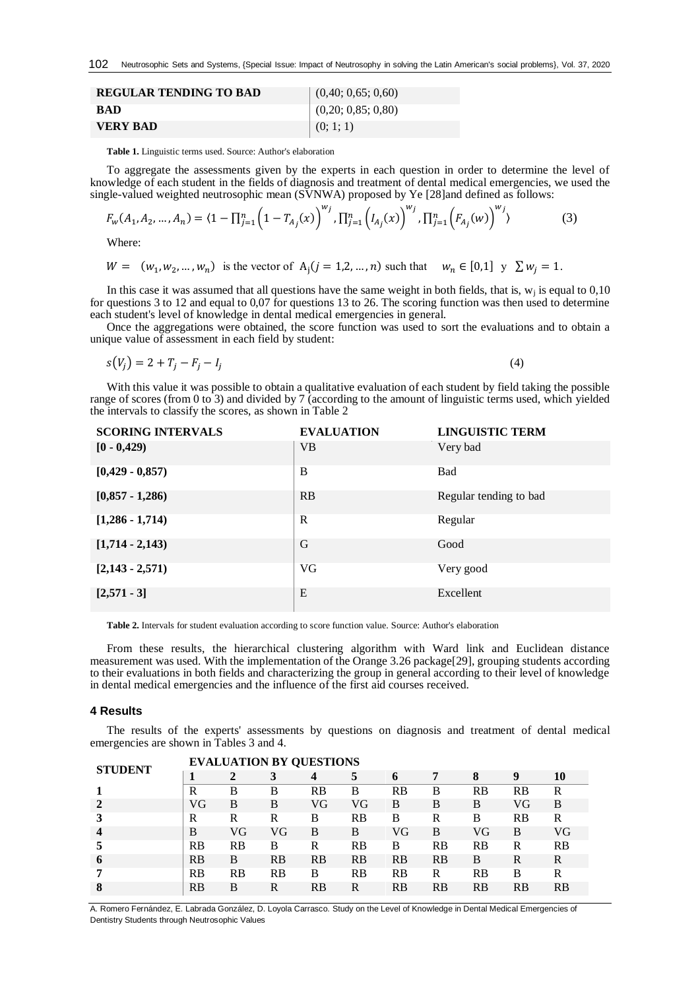| <b>REGULAR TENDING TO BAD</b> | (0,40; 0,65; 0,60)         |
|-------------------------------|----------------------------|
| <b>RAD</b>                    | $\vert$ (0,20; 0,85; 0,80) |
| <b>VERY BAD</b>               | (0; 1; 1)                  |

**Table 1.** Linguistic terms used. Source: Author's elaboration

To aggregate the assessments given by the experts in each question in order to determine the level of knowledge of each student in the fields of diagnosis and treatment of dental medical emergencies, we used the single-valued weighted neutrosophic mean (SVNWA) proposed by Ye [\[28\]](#page-8-14)and defined as follows:

$$
F_w(A_1, A_2, ..., A_n) = \langle 1 - \prod_{j=1}^n \left(1 - T_{A_j}(x)\right)^{w_j}, \prod_{j=1}^n \left(I_{A_j}(x)\right)^{w_j}, \prod_{j=1}^n \left(F_{A_j}(w)\right)^{w_j}\rangle \tag{3}
$$

Where:

$$
W = (w_1, w_2, ..., w_n)
$$
 is the vector of  $A_j$  ( $j = 1, 2, ..., n$ ) such that  $w_n \in [0, 1]$   $y \sum w_j = 1$ .

In this case it was assumed that all questions have the same weight in both fields, that is,  $w_i$  is equal to 0,10 for questions 3 to 12 and equal to 0,07 for questions 13 to 26. The scoring function was then used to determine each student's level of knowledge in dental medical emergencies in general.

Once the aggregations were obtained, the score function was used to sort the evaluations and to obtain a unique value of assessment in each field by student:

$$
s(V_j) = 2 + T_j - F_j - I_j \tag{4}
$$

With this value it was possible to obtain a qualitative evaluation of each student by field taking the possible range of scores (from 0 to 3) and divided by 7 (according to the amount of linguistic terms used, which yielded the intervals to classify the scores, as shown in Table 2

| <b>SCORING INTERVALS</b> | <b>EVALUATION</b> | <b>LINGUISTIC TERM</b> |
|--------------------------|-------------------|------------------------|
| $[0 - 0, 429)$           | <b>VB</b>         | Very bad               |
| $[0,429 - 0,857)$        | B                 | Bad                    |
| $[0,857 - 1,286)$        | RB                | Regular tending to bad |
| $[1,286 - 1,714]$        | $\mathbb{R}$      | Regular                |
| $[1,714 - 2,143)$        | G                 | Good                   |
| $[2,143 - 2,571)$        | VG                | Very good              |
| $[2,571 - 3]$            | E                 | Excellent              |

**Table 2.** Intervals for student evaluation according to score function value. Source: Author's elaboration

**STUDENT BY QUESTIONS** 

From these results, the hierarchical clustering algorithm with Ward link and Euclidean distance measurement was used. With the implementation of the Orange 3.26 package[\[29\]](#page-8-15), grouping students according to their evaluations in both fields and characterizing the group in general according to their level of knowledge in dental medical emergencies and the influence of the first aid courses received.

#### **4 Results**

The results of the experts' assessments by questions on diagnosis and treatment of dental medical emergencies are shown in Tables 3 and 4.

|                |           |           | <b>EVALUATION BY QUESTIONS</b> |           |           |           |    |           |    |    |
|----------------|-----------|-----------|--------------------------------|-----------|-----------|-----------|----|-----------|----|----|
| <b>STUDENT</b> |           |           |                                | 4         | 5         | 6         |    | 8         | 9  | 10 |
|                | R         | В         | В                              | RB        | B         | <b>RB</b> | B  | RB        | RB | R  |
|                | VG        | B         | B                              | VG        | VG        | B         | B  | B         | VG | B  |
| 3              | R         | R         | R                              | B         | RB        | B         | R  | B         | RB | R  |
| 4              | В         | VG        | VG                             | B         | B         | VG        | B  | VG        | B  | VG |
| 5              | <b>RB</b> | <b>RB</b> | B                              | R         | <b>RB</b> | B         | RB | RB        | R  | RB |
| 6              | <b>RB</b> | B         | <b>RB</b>                      | <b>RB</b> | RB        | <b>RB</b> | RB | B         | R  | R  |
| 7              | <b>RB</b> | <b>RB</b> | <b>RB</b>                      | B         | <b>RB</b> | <b>RB</b> | R  | <b>RB</b> | B  | R  |
| 8              | RB        | B         | R                              | RB        | R         | RB        | RB | RB        | RB | RB |
|                |           |           |                                |           |           |           |    |           |    |    |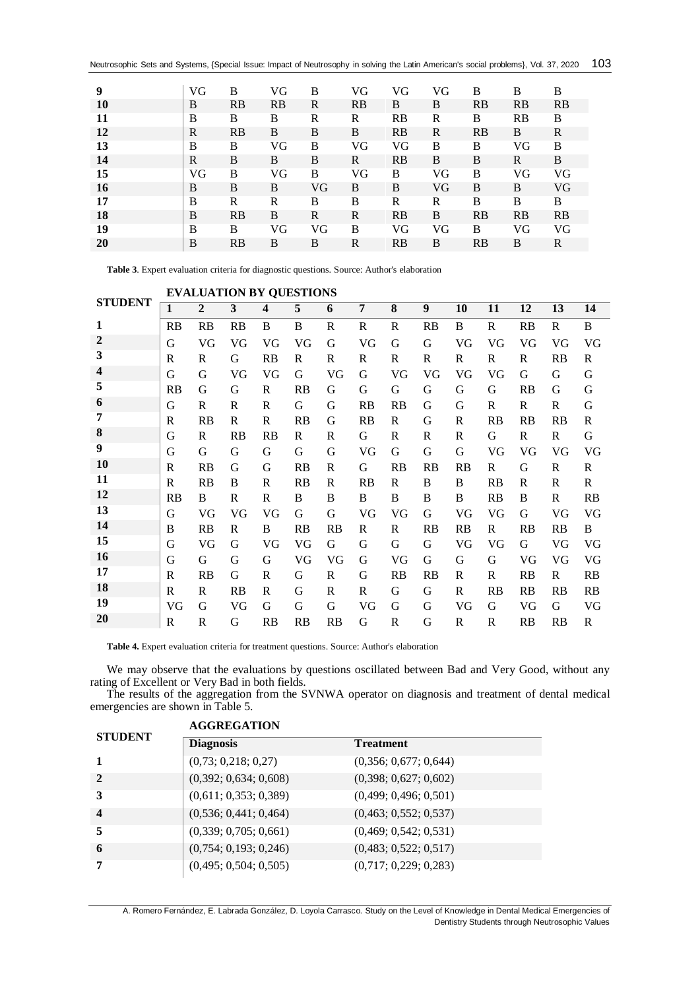Neutrosophic Sets and Systems, {Special Issue: Impact of Neutrosophy in solving the Latin American's social problems}, Vol. 37, 2020 

| 9         | VG | B         | VG | B  | VG        | VG | VG | B  | B  | B         |
|-----------|----|-----------|----|----|-----------|----|----|----|----|-----------|
| 10        | B  | <b>RB</b> | RB | R  | <b>RB</b> | B  | B  | RB | RB | <b>RB</b> |
| 11        | B  | B         | B  | R  | R         | RB | R  | B  | RB | B         |
| 12        | R  | <b>RB</b> | B  | B  | B         | RB | R  | RB | B  | R         |
| 13        | B  | B         | VG | B  | VG        | VG | B  | B  | VG | B         |
| 14        | R  | B         | B  | B  | R         | RB | B  | B  | R  | B         |
| 15        | VG | B         | VG | B  | VG        | B  | VG | B  | VG | VG        |
| <b>16</b> | B  | B         | B  | VG | B         | B  | VG | B  | B  | VG        |
| 17        | B  | R         | R  | B  | B         | R  | R  | B  | B  | B         |
| 18        | B  | <b>RB</b> | B  | R  | R         | RB | B  | RB | RB | <b>RB</b> |
| 19        | B  | B         | VG | VG | B         | VG | VG | B  | VG | VG        |
| <b>20</b> | B  | RB        | B  | B  | R         | RB | B  | RB | B  | R         |
|           |    |           |    |    |           |    |    |    |    |           |

**Table 3**. Expert evaluation criteria for diagnostic questions. Source: Author's elaboration

|                |              |                | <b>EVALUATION BY QUESTIONS</b> |              |           |    |           |           |           |           |              |           |              |           |
|----------------|--------------|----------------|--------------------------------|--------------|-----------|----|-----------|-----------|-----------|-----------|--------------|-----------|--------------|-----------|
| <b>STUDENT</b> | $\mathbf{1}$ | $\overline{2}$ | 3                              | 4            | 5         | 6  | 7         | 8         | 9         | <b>10</b> | 11           | 12        | 13           | 14        |
| 1              | RB           | <b>RB</b>      | RB                             | B            | B         | R  | R         | R         | <b>RB</b> | B         | R            | RB        | R            | B         |
| $\overline{2}$ | G            | VG             | VG                             | VG           | VG        | G  | VG        | G         | G         | VG        | VG           | VG        | VG           | VG        |
| 3              | $\mathbb{R}$ | R              | G                              | <b>RB</b>    | R         | R  | R         | R         | R         | R         | $\mathbb{R}$ | R         | <b>RB</b>    | R         |
| 4              | G            | G              | VG                             | VG           | G         | VG | G         | VG        | VG        | VG        | VG           | G         | G            | G         |
| 5              | RB           | G              | G                              | R            | <b>RB</b> | G  | G         | G         | G         | G         | G            | <b>RB</b> | G            | G         |
| 6              | G            | R              | R                              | $\mathbb{R}$ | G         | G  | RB        | <b>RB</b> | G         | G         | R            | R         | $\mathbb{R}$ | G         |
| 7              | $\mathbb{R}$ | <b>RB</b>      | R                              | R            | <b>RB</b> | G  | <b>RB</b> | R         | G         | R         | RB           | <b>RB</b> | <b>RB</b>    | R         |
| 8              | G            | R              | <b>RB</b>                      | RB           | R         | R  | G         | R         | R         | R         | G            | R         | R            | G         |
| 9              | G            | G              | G                              | G            | G         | G  | VG        | G         | G         | G         | VG           | VG        | VG           | VG        |
| <b>10</b>      | $\mathbb{R}$ | <b>RB</b>      | G                              | G            | <b>RB</b> | R  | G         | <b>RB</b> | <b>RB</b> | <b>RB</b> | R            | G         | R            | R         |
| 11             | R            | <b>RB</b>      | B                              | R            | <b>RB</b> | R  | <b>RB</b> | R         | B         | B         | RB           | R         | R            | R         |
| 12             | <b>RB</b>    | B              | R                              | R            | B         | B  | B         | B         | B         | B         | <b>RB</b>    | B         | R            | <b>RB</b> |
| 13             | G            | VG             | VG                             | VG           | G         | G  | VG        | VG        | G         | VG        | VG           | G         | VG           | VG        |
| 14             | B            | <b>RB</b>      | R                              | B            | <b>RB</b> | RB | R         | R         | <b>RB</b> | <b>RB</b> | $\mathbb{R}$ | <b>RB</b> | <b>RB</b>    | B         |
| 15             | G            | VG             | G                              | VG           | VG        | G  | G         | G         | G         | VG        | VG           | G         | VG           | VG        |
| 16             | G            | G              | G                              | G            | VG        | VG | G         | VG        | G         | G         | G            | VG        | VG           | VG        |
| 17             | $\mathbb{R}$ | <b>RB</b>      | G                              | $\mathbb{R}$ | G         | R  | G         | <b>RB</b> | <b>RB</b> | R         | R            | RB        | R            | <b>RB</b> |
| 18             | R            | R              | RB                             | R            | G         | R  | R         | G         | G         | R         | RB           | <b>RB</b> | <b>RB</b>    | <b>RB</b> |
| 19             | VG           | G              | VG                             | G            | G         | G  | VG        | G         | G         | VG        | G            | VG        | G            | VG        |
| 20             | $\mathbb{R}$ | R              | G                              | RB           | RB        | RB | G         | R         | G         | R         | R            | RB        | <b>RB</b>    | R         |

**EVALUATION BY QUESTIONS**

**Table 4.** Expert evaluation criteria for treatment questions. Source: Author's elaboration

We may observe that the evaluations by questions oscillated between Bad and Very Good, without any rating of Excellent or Very Bad in both fields.

The results of the aggregation from the SVNWA operator on diagnosis and treatment of dental medical emergencies are shown in Table 5.

|                         | <b>AGGREGATION</b>    |                       |  |  |  |  |  |  |
|-------------------------|-----------------------|-----------------------|--|--|--|--|--|--|
| <b>STUDENT</b>          | <b>Diagnosis</b>      | <b>Treatment</b>      |  |  |  |  |  |  |
|                         | (0,73; 0,218; 0,27)   | (0,356; 0,677; 0,644) |  |  |  |  |  |  |
| $\mathbf{2}$            | (0,392; 0,634; 0,608) | (0,398; 0,627; 0,602) |  |  |  |  |  |  |
| 3                       | (0,611; 0,353; 0,389) | (0,499; 0,496; 0,501) |  |  |  |  |  |  |
| $\overline{\mathbf{4}}$ | (0,536; 0,441; 0,464) | (0,463; 0,552; 0,537) |  |  |  |  |  |  |
| 5                       | (0,339; 0,705; 0,661) | (0,469; 0,542; 0,531) |  |  |  |  |  |  |
| 6                       | (0,754; 0,193; 0,246) | (0,483; 0,522; 0,517) |  |  |  |  |  |  |
| 7                       | (0,495; 0,504; 0,505) | (0,717; 0,229; 0,283) |  |  |  |  |  |  |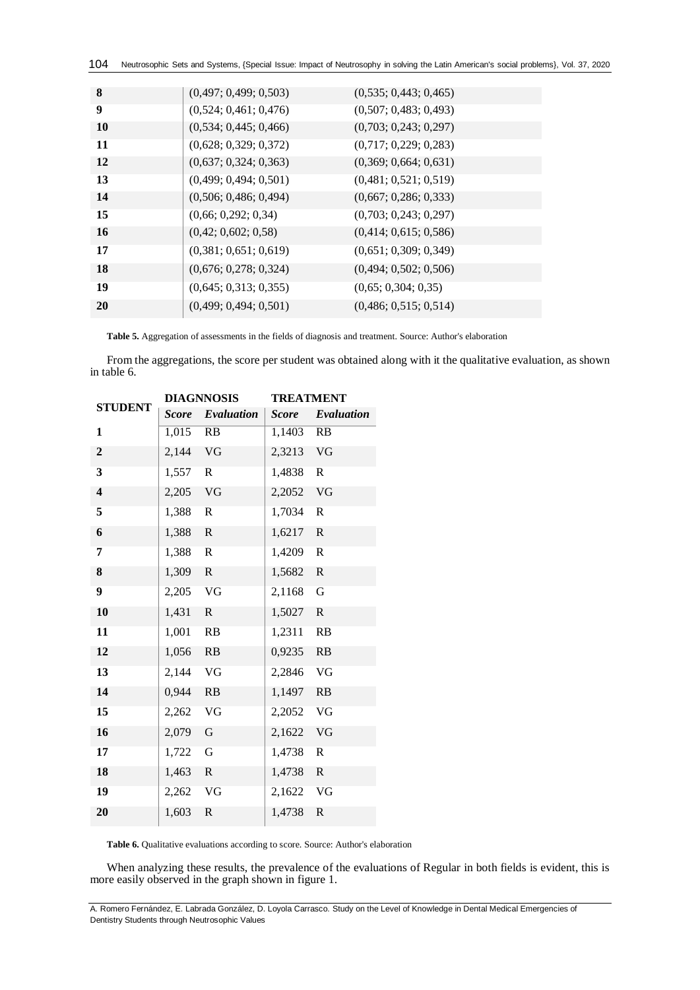| 104 Neutrosophic Sets and Systems, {Special Issue: Impact of Neutrosophy in solving the Latin American's social problems}, Vol. 37, 2020 |  |  |
|------------------------------------------------------------------------------------------------------------------------------------------|--|--|
|------------------------------------------------------------------------------------------------------------------------------------------|--|--|

| 8         | (0,497; 0,499; 0,503) | (0,535; 0,443; 0,465) |
|-----------|-----------------------|-----------------------|
| 9         | (0,524; 0,461; 0,476) | (0,507; 0,483; 0,493) |
| 10        | (0,534; 0,445; 0,466) | (0,703; 0,243; 0,297) |
| 11        | (0,628; 0,329; 0,372) | (0,717; 0,229; 0,283) |
| <b>12</b> | (0,637; 0,324; 0,363) | (0,369; 0,664; 0,631) |
| 13        | (0,499; 0,494; 0,501) | (0,481; 0,521; 0,519) |
| 14        | (0,506; 0,486; 0,494) | (0,667; 0,286; 0,333) |
| 15        | (0,66; 0,292; 0,34)   | (0,703; 0,243; 0,297) |
| <b>16</b> | (0,42; 0,602; 0,58)   | (0,414; 0,615; 0,586) |
| 17        | (0,381; 0,651; 0,619) | (0,651; 0,309; 0,349) |
| 18        | (0,676; 0,278; 0,324) | (0,494; 0,502; 0,506) |
| 19        | (0,645; 0,313; 0,355) | (0,65; 0,304; 0,35)   |
| 20        | (0,499; 0,494; 0,501) | (0,486; 0,515; 0,514) |
|           |                       |                       |

**Table 5.** Aggregation of assessments in the fields of diagnosis and treatment. Source: Author's elaboration

From the aggregations, the score per student was obtained along with it the qualitative evaluation, as shown in table 6.

|                         |              | <b>DIAGNNOSIS</b> | <b>TREATMENT</b> |              |  |  |  |
|-------------------------|--------------|-------------------|------------------|--------------|--|--|--|
| <b>STUDENT</b>          | <b>Score</b> | Evaluation        | <b>Score</b>     | Evaluation   |  |  |  |
| $\mathbf{1}$            | 1,015 RB     |                   | 1,1403 RB        |              |  |  |  |
| $\overline{2}$          | 2,144 VG     |                   | 2,3213 VG        |              |  |  |  |
| 3                       | 1,557 R      |                   | 1,4838 R         |              |  |  |  |
| $\overline{\mathbf{4}}$ | 2,205 VG     |                   | 2,2052 VG        |              |  |  |  |
| 5                       | 1,388        | $\mathbb{R}$      | 1,7034           | $\mathbb{R}$ |  |  |  |
| 6                       | 1,388        | $\mathbf R$       | 1,6217           | $\mathbf R$  |  |  |  |
| 7                       | 1,388        | $\mathbf R$       | 1,4209           | $\mathbf R$  |  |  |  |
| 8                       | 1,309 R      |                   | 1,5682           | $\mathbb{R}$ |  |  |  |
| $\overline{\mathbf{9}}$ | 2,205 VG     |                   | 2,1168           | $\mathbf G$  |  |  |  |
| 10                      | 1,431        | ${\bf R}$         | 1,5027           | ${\bf R}$    |  |  |  |
| 11                      | 1,001 RB     |                   | 1,2311           | RB           |  |  |  |
| 12                      | 1,056 RB     |                   | 0,9235 RB        |              |  |  |  |
| 13                      | 2,144 VG     |                   | 2,2846 VG        |              |  |  |  |
| 14                      | 0,944 RB     |                   | 1,1497 RB        |              |  |  |  |
| 15                      | 2,262 VG     |                   | 2,2052 VG        |              |  |  |  |
| 16                      | 2,079 G      |                   | 2,1622 VG        |              |  |  |  |
| 17                      | 1,722        | ${\bf G}$         | 1,4738           | R            |  |  |  |
| 18                      | 1,463        | ${\bf R}$         | 1,4738           | $\mathbf R$  |  |  |  |
| 19                      | 2,262 VG     |                   | 2,1622 VG        |              |  |  |  |
| 20                      | 1,603        | $\mathbf R$       | 1,4738           | $\mathbf R$  |  |  |  |

**Table 6.** Qualitative evaluations according to score. Source: Author's elaboration

When analyzing these results, the prevalence of the evaluations of Regular in both fields is evident, this is more easily observed in the graph shown in figure 1.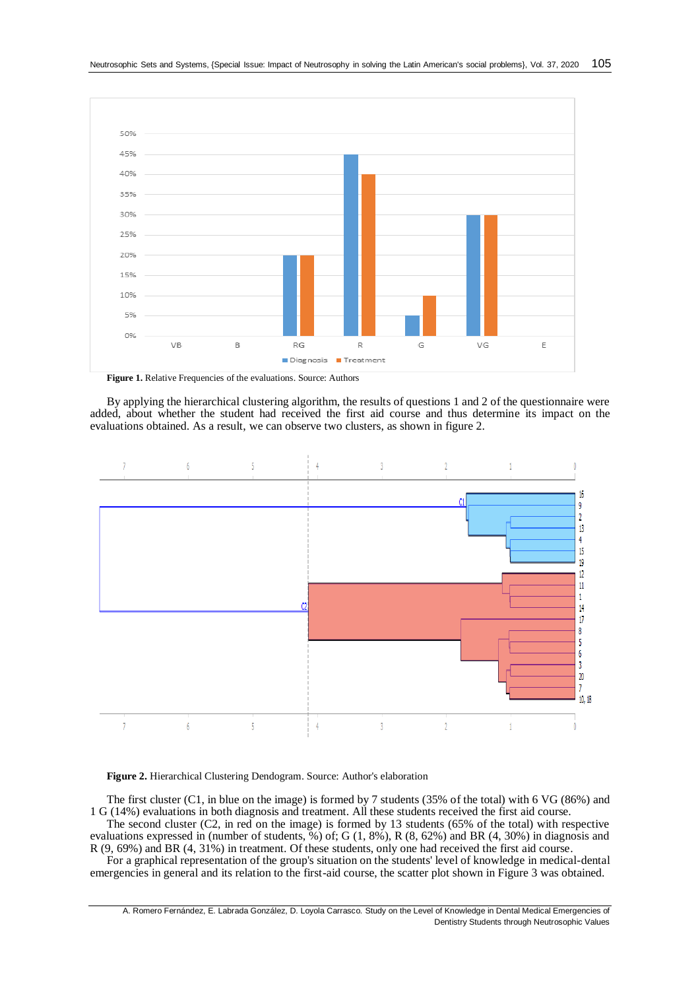

**Figure 1.** Relative Frequencies of the evaluations. Source: Authors

By applying the hierarchical clustering algorithm, the results of questions 1 and 2 of the questionnaire were added, about whether the student had received the first aid course and thus determine its impact on the evaluations obtained. As a result, we can observe two clusters, as shown in figure 2.



#### **Figure 2.** Hierarchical Clustering Dendogram. Source: Author's elaboration

The first cluster (C1, in blue on the image) is formed by 7 students (35% of the total) with 6 VG (86%) and 1 G (14%) evaluations in both diagnosis and treatment. All these students received the first aid course.

The second cluster (C2, in red on the image) is formed by 13 students (65% of the total) with respective evaluations expressed in (number of students, %) of; G (1, 8%), R (8, 62%) and BR (4, 30%) in diagnosis and R (9, 69%) and BR (4, 31%) in treatment. Of these students, only one had received the first aid course.

For a graphical representation of the group's situation on the students' level of knowledge in medical-dental emergencies in general and its relation to the first-aid course, the scatter plot shown in Figure 3 was obtained.

A. Romero Fernández, E. Labrada González, D. Loyola Carrasco. Study on the Level of Knowledge in Dental Medical Emergencies of Dentistry Students through Neutrosophic Values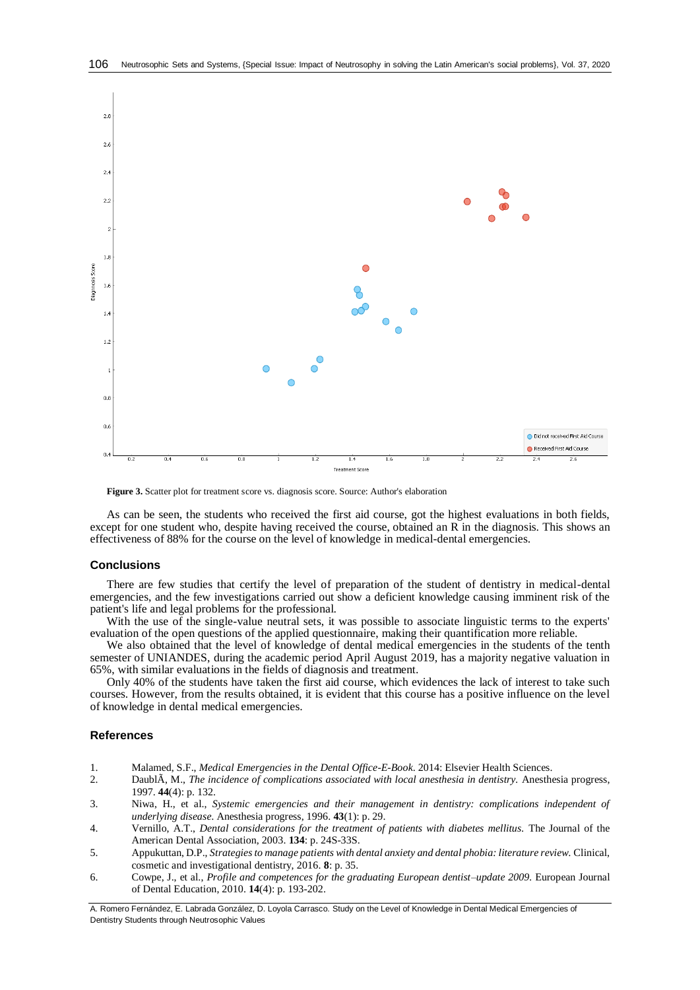

**Figure 3.** Scatter plot for treatment score vs. diagnosis score. Source: Author's elaboration

As can be seen, the students who received the first aid course, got the highest evaluations in both fields, except for one student who, despite having received the course, obtained an R in the diagnosis. This shows an effectiveness of 88% for the course on the level of knowledge in medical-dental emergencies.

## **Conclusions**

There are few studies that certify the level of preparation of the student of dentistry in medical-dental emergencies, and the few investigations carried out show a deficient knowledge causing imminent risk of the patient's life and legal problems for the professional.

With the use of the single-value neutral sets, it was possible to associate linguistic terms to the experts' evaluation of the open questions of the applied questionnaire, making their quantification more reliable.

We also obtained that the level of knowledge of dental medical emergencies in the students of the tenth semester of UNIANDES, during the academic period April August 2019, has a majority negative valuation in 65%, with similar evaluations in the fields of diagnosis and treatment.

Only 40% of the students have taken the first aid course, which evidences the lack of interest to take such courses. However, from the results obtained, it is evident that this course has a positive influence on the level of knowledge in dental medical emergencies.

### **References**

- <span id="page-7-0"></span>1. Malamed, S.F., *Medical Emergencies in the Dental Office-E-Book*. 2014: Elsevier Health Sciences.
- <span id="page-7-1"></span>2. DaublÃ, M., *The incidence of complications associated with local anesthesia in dentistry.* Anesthesia progress, 1997. **44**(4): p. 132.
- <span id="page-7-2"></span>3. Niwa, H., et al., *Systemic emergencies and their management in dentistry: complications independent of underlying disease.* Anesthesia progress, 1996. **43**(1): p. 29.
- <span id="page-7-3"></span>4. Vernillo, A.T., *Dental considerations for the treatment of patients with diabetes mellitus.* The Journal of the American Dental Association, 2003. **134**: p. 24S-33S.
- <span id="page-7-4"></span>5. Appukuttan, D.P., *Strategies to manage patients with dental anxiety and dental phobia: literature review.* Clinical, cosmetic and investigational dentistry, 2016. **8**: p. 35.
- <span id="page-7-5"></span>6. Cowpe, J., et al., *Profile and competences for the graduating European dentist–update 2009.* European Journal of Dental Education, 2010. **14**(4): p. 193-202.